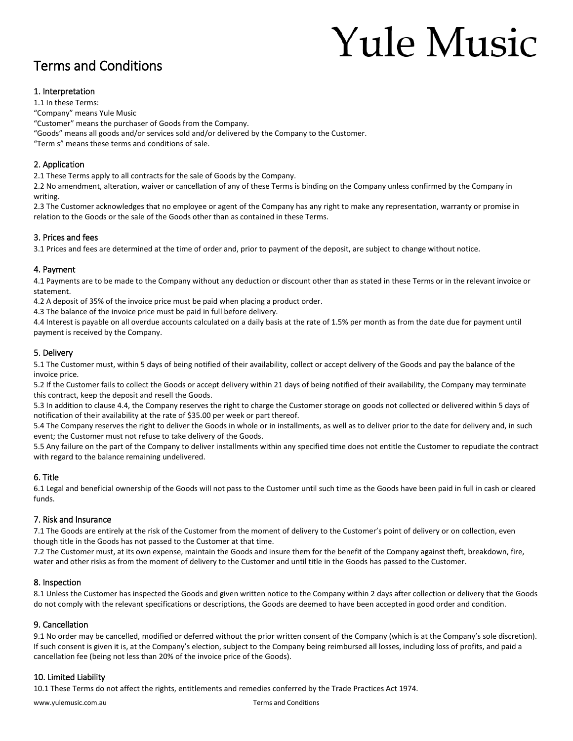# **Yule Music**

# Terms and Conditions

# 1. Interpretation

1.1 In these Terms:

"Company" means Yule Music

"Customer" means the purchaser of Goods from the Company.

"Goods" means all goods and/or services sold and/or delivered by the Company to the Customer.

"Term s" means these terms and conditions of sale.

# 2. Application

2.1 These Terms apply to all contracts for the sale of Goods by the Company.

2.2 No amendment, alteration, waiver or cancellation of any of these Terms is binding on the Company unless confirmed by the Company in writing.

2.3 The Customer acknowledges that no employee or agent of the Company has any right to make any representation, warranty or promise in relation to the Goods or the sale of the Goods other than as contained in these Terms.

# 3. Prices and fees

3.1 Prices and fees are determined at the time of order and, prior to payment of the deposit, are subject to change without notice.

# 4. Payment

4.1 Payments are to be made to the Company without any deduction or discount other than as stated in these Terms or in the relevant invoice or statement.

4.2 A deposit of 35% of the invoice price must be paid when placing a product order.

4.3 The balance of the invoice price must be paid in full before delivery.

4.4 Interest is payable on all overdue accounts calculated on a daily basis at the rate of 1.5% per month as from the date due for payment until payment is received by the Company.

# 5. Delivery

5.1 The Customer must, within 5 days of being notified of their availability, collect or accept delivery of the Goods and pay the balance of the invoice price.

5.2 If the Customer fails to collect the Goods or accept delivery within 21 days of being notified of their availability, the Company may terminate this contract, keep the deposit and resell the Goods.

5.3 In addition to clause 4.4, the Company reserves the right to charge the Customer storage on goods not collected or delivered within 5 days of notification of their availability at the rate of \$35.00 per week or part thereof.

5.4 The Company reserves the right to deliver the Goods in whole or in installments, as well as to deliver prior to the date for delivery and, in such event; the Customer must not refuse to take delivery of the Goods.

5.5 Any failure on the part of the Company to deliver installments within any specified time does not entitle the Customer to repudiate the contract with regard to the balance remaining undelivered.

# 6. Title

6.1 Legal and beneficial ownership of the Goods will not pass to the Customer until such time as the Goods have been paid in full in cash or cleared funds.

# 7. Risk and Insurance

7.1 The Goods are entirely at the risk of the Customer from the moment of delivery to the Customer's point of delivery or on collection, even though title in the Goods has not passed to the Customer at that time.

7.2 The Customer must, at its own expense, maintain the Goods and insure them for the benefit of the Company against theft, breakdown, fire, water and other risks as from the moment of delivery to the Customer and until title in the Goods has passed to the Customer.

# 8. Inspection

8.1 Unless the Customer has inspected the Goods and given written notice to the Company within 2 days after collection or delivery that the Goods do not comply with the relevant specifications or descriptions, the Goods are deemed to have been accepted in good order and condition.

# 9. Cancellation

9.1 No order may be cancelled, modified or deferred without the prior written consent of the Company (which is at the Company's sole discretion). If such consent is given it is, at the Company's election, subject to the Company being reimbursed all losses, including loss of profits, and paid a cancellation fee (being not less than 20% of the invoice price of the Goods).

# 10. Limited Liability

10.1 These Terms do not affect the rights, entitlements and remedies conferred by the Trade Practices Act 1974.